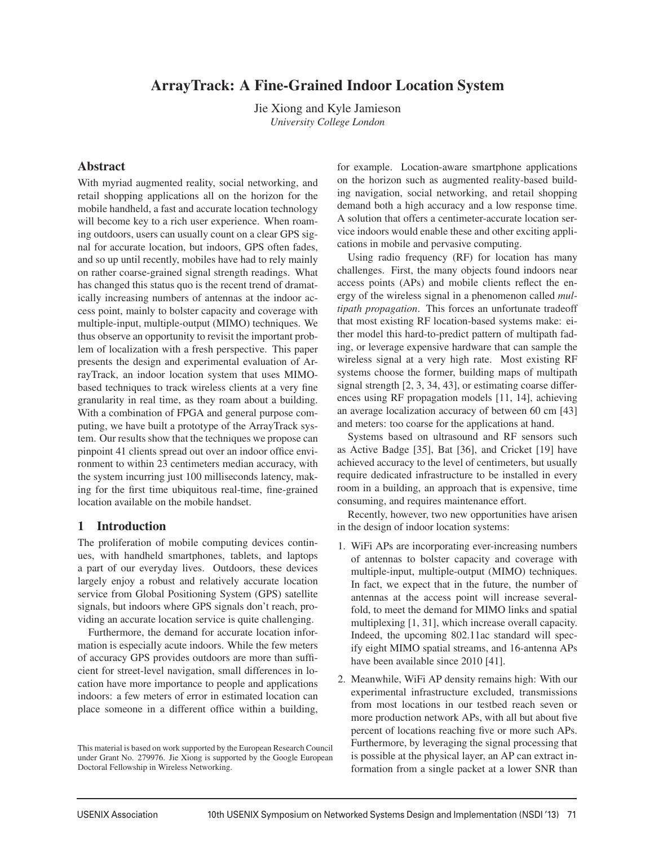# ArrayTrack: A Fine-Grained Indoor Location System

Jie Xiong and Kyle Jamieson *University College London*

# Abstract

With myriad augmented reality, social networking, and retail shopping applications all on the horizon for the mobile handheld, a fast and accurate location technology will become key to a rich user experience. When roaming outdoors, users can usually count on a clear GPS signal for accurate location, but indoors, GPS often fades, and so up until recently, mobiles have had to rely mainly on rather coarse-grained signal strength readings. What has changed this status quo is the recent trend of dramatically increasing numbers of antennas at the indoor access point, mainly to bolster capacity and coverage with multiple-input, multiple-output (MIMO) techniques. We thus observe an opportunity to revisit the important problem of localization with a fresh perspective. This paper presents the design and experimental evaluation of ArrayTrack, an indoor location system that uses MIMObased techniques to track wireless clients at a very fine granularity in real time, as they roam about a building. With a combination of FPGA and general purpose computing, we have built a prototype of the ArrayTrack system. Our results show that the techniques we propose can pinpoint 41 clients spread out over an indoor office environment to within 23 centimeters median accuracy, with the system incurring just 100 milliseconds latency, making for the first time ubiquitous real-time, fine-grained location available on the mobile handset.

# 1 Introduction

The proliferation of mobile computing devices continues, with handheld smartphones, tablets, and laptops a part of our everyday lives. Outdoors, these devices largely enjoy a robust and relatively accurate location service from Global Positioning System (GPS) satellite signals, but indoors where GPS signals don't reach, providing an accurate location service is quite challenging.

Furthermore, the demand for accurate location information is especially acute indoors. While the few meters of accuracy GPS provides outdoors are more than sufficient for street-level navigation, small differences in location have more importance to people and applications indoors: a few meters of error in estimated location can place someone in a different office within a building,

for example. Location-aware smartphone applications on the horizon such as augmented reality-based building navigation, social networking, and retail shopping demand both a high accuracy and a low response time. A solution that offers a centimeter-accurate location service indoors would enable these and other exciting applications in mobile and pervasive computing.

Using radio frequency (RF) for location has many challenges. First, the many objects found indoors near access points (APs) and mobile clients reflect the energy of the wireless signal in a phenomenon called *multipath propagation*. This forces an unfortunate tradeoff that most existing RF location-based systems make: either model this hard-to-predict pattern of multipath fading, or leverage expensive hardware that can sample the wireless signal at a very high rate. Most existing RF systems choose the former, building maps of multipath signal strength [2, 3, 34, 43], or estimating coarse differences using RF propagation models [11, 14], achieving an average localization accuracy of between 60 cm [43] and meters: too coarse for the applications at hand.

Systems based on ultrasound and RF sensors such as Active Badge [35], Bat [36], and Cricket [19] have achieved accuracy to the level of centimeters, but usually require dedicated infrastructure to be installed in every room in a building, an approach that is expensive, time consuming, and requires maintenance effort.

Recently, however, two new opportunities have arisen in the design of indoor location systems:

- 1. WiFi APs are incorporating ever-increasing numbers of antennas to bolster capacity and coverage with multiple-input, multiple-output (MIMO) techniques. In fact, we expect that in the future, the number of antennas at the access point will increase severalfold, to meet the demand for MIMO links and spatial multiplexing [1, 31], which increase overall capacity. Indeed, the upcoming 802.11ac standard will specify eight MIMO spatial streams, and 16-antenna APs have been available since 2010 [41].
- 2. Meanwhile, WiFi AP density remains high: With our experimental infrastructure excluded, transmissions from most locations in our testbed reach seven or more production network APs, with all but about five percent of locations reaching five or more such APs. Furthermore, by leveraging the signal processing that is possible at the physical layer, an AP can extract information from a single packet at a lower SNR than

This material is based on work supported by the European Research Council under Grant No. 279976. Jie Xiong is supported by the Google European Doctoral Fellowship in Wireless Networking.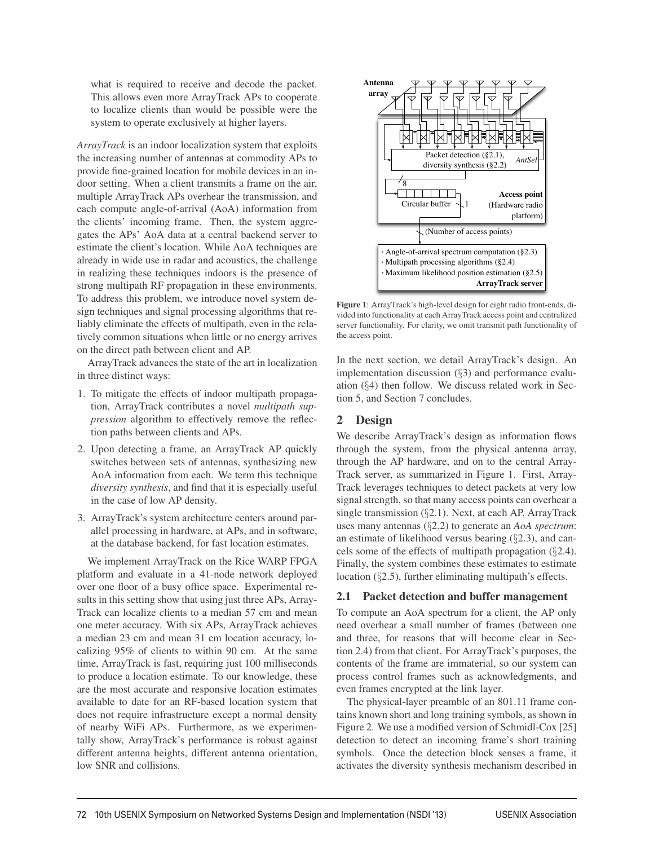what is required to receive and decode the packet. This allows even more ArrayTrack APs to cooperate to localize clients than would be possible were the system to operate exclusively at higher layers.

*ArrayTrack* is an indoor localization system that exploits the increasing number of antennas at commodity APs to provide fine-grained location for mobile devices in an indoor setting. When a client transmits a frame on the air, multiple ArrayTrack APs overhear the transmission, and each compute angle-of-arrival (AoA) information from the clients' incoming frame. Then, the system aggregates the APs' AoA data at a central backend server to estimate the client's location. While AoA techniques are already in wide use in radar and acoustics, the challenge in realizing these techniques indoors is the presence of strong multipath RF propagation in these environments. To address this problem, we introduce novel system design techniques and signal processing algorithms that reliably eliminate the effects of multipath, even in the relatively common situations when little or no energy arrives on the direct path between client and AP.

ArrayTrack advances the state of the art in localization in three distinct ways:

- 1. To mitigate the effects of indoor multipath propagation, ArrayTrack contributes a novel *multipath suppression* algorithm to effectively remove the reflection paths between clients and APs.
- 2. Upon detecting a frame, an ArrayTrack AP quickly switches between sets of antennas, synthesizing new AoA information from each. We term this technique *diversity synthesis*, and find that it is especially useful in the case of low AP density.
- 3. ArrayTrack's system architecture centers around parallel processing in hardware, at APs, and in software, at the database backend, for fast location estimates.

We implement ArrayTrack on the Rice WARP FPGA platform and evaluate in a 41-node network deployed over one floor of a busy office space. Experimental results in this setting show that using just three APs, Array-Track can localize clients to a median 57 cm and mean one meter accuracy. With six APs, ArrayTrack achieves a median 23 cm and mean 31 cm location accuracy, localizing 95% of clients to within 90 cm. At the same time, ArrayTrack is fast, requiring just 100 milliseconds to produce a location estimate. To our knowledge, these are the most accurate and responsive location estimates available to date for an RF-based location system that does not require infrastructure except a normal density of nearby WiFi APs. Furthermore, as we experimentally show, ArrayTrack's performance is robust against different antenna heights, different antenna orientation, low SNR and collisions.



Figure 1: ArrayTrack's high-level design for eight radio front-ends, divided into functionality at each ArrayTrack access point and centralized server functionality. For clarity, we omit transmit path functionality of the access point.

In the next section, we detail ArrayTrack's design. An implementation discussion (§3) and performance evaluation (§4) then follow. We discuss related work in Section 5, and Section 7 concludes.

# 2 Design

We describe ArrayTrack's design as information flows through the system, from the physical antenna array, through the AP hardware, and on to the central Array-Track server, as summarized in Figure 1. First, Array-Track leverages techniques to detect packets at very low signal strength, so that many access points can overhear a single transmission (§2.1). Next, at each AP, ArrayTrack uses many antennas (§2.2) to generate an *AoA spectrum*: an estimate of likelihood versus bearing (§2.3), and cancels some of the effects of multipath propagation (§2.4). Finally, the system combines these estimates to estimate location (§2.5), further eliminating multipath's effects.

# 2.1 Packet detection and buffer management

To compute an AoA spectrum for a client, the AP only need overhear a small number of frames (between one and three, for reasons that will become clear in Section 2.4) from that client. For ArrayTrack's purposes, the contents of the frame are immaterial, so our system can process control frames such as acknowledgments, and even frames encrypted at the link layer.

The physical-layer preamble of an 801.11 frame contains known short and long training symbols, as shown in Figure 2. We use a modified version of Schmidl-Cox [25] detection to detect an incoming frame's short training symbols. Once the detection block senses a frame, it activates the diversity synthesis mechanism described in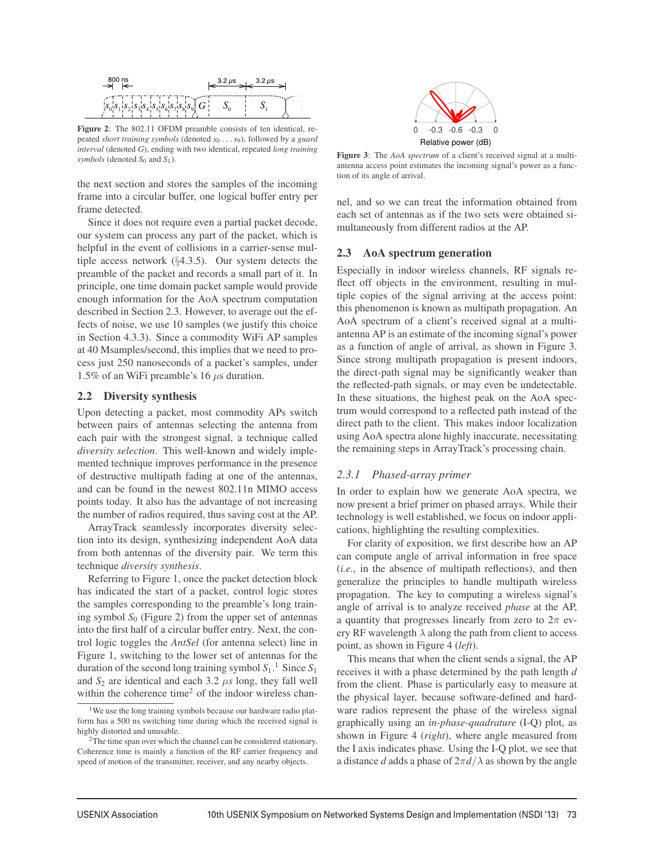

Figure 2: The 802.11 OFDM preamble consists of ten identical, repeated *short training symbols* (denoted *s*<sup>0</sup> ...*s*9), followed by a *guard interval* (denoted *G*), ending with two identical, repeated *long training symbols* (denoted  $S_0$  and  $S_1$ ).

the next section and stores the samples of the incoming frame into a circular buffer, one logical buffer entry per frame detected.

Since it does not require even a partial packet decode, our system can process any part of the packet, which is helpful in the event of collisions in a carrier-sense multiple access network (§4.3.5). Our system detects the preamble of the packet and records a small part of it. In principle, one time domain packet sample would provide enough information for the AoA spectrum computation described in Section 2.3. However, to average out the effects of noise, we use 10 samples (we justify this choice in Section 4.3.3). Since a commodity WiFi AP samples at 40 Msamples/second, this implies that we need to process just 250 nanoseconds of a packet's samples, under 1.5% of an WiFi preamble's 16  $\mu$ s duration.

### 2.2 Diversity synthesis

Upon detecting a packet, most commodity APs switch between pairs of antennas selecting the antenna from each pair with the strongest signal, a technique called *diversity selection*. This well-known and widely implemented technique improves performance in the presence of destructive multipath fading at one of the antennas, and can be found in the newest 802.11n MIMO access points today. It also has the advantage of not increasing the number of radios required, thus saving cost at the AP.

ArrayTrack seamlessly incorporates diversity selection into its design, synthesizing independent AoA data from both antennas of the diversity pair. We term this technique *diversity synthesis*.

Referring to Figure 1, once the packet detection block has indicated the start of a packet, control logic stores the samples corresponding to the preamble's long training symbol  $S_0$  (Figure 2) from the upper set of antennas into the first half of a circular buffer entry. Next, the control logic toggles the *AntSel* (for antenna select) line in Figure 1, switching to the lower set of antennas for the duration of the second long training symbol *S*1. <sup>1</sup> Since *S*<sup>1</sup> and  $S_2$  are identical and each 3.2  $\mu s$  long, they fall well within the coherence time<sup>2</sup> of the indoor wireless chan-



Figure 3: The *AoA spectrum* of a client's received signal at a multiantenna access point estimates the incoming signal's power as a function of its angle of arrival.

nel, and so we can treat the information obtained from each set of antennas as if the two sets were obtained simultaneously from different radios at the AP.

#### 2.3 AoA spectrum generation

Especially in indoor wireless channels, RF signals reflect off objects in the environment, resulting in multiple copies of the signal arriving at the access point: this phenomenon is known as multipath propagation. An AoA spectrum of a client's received signal at a multiantenna AP is an estimate of the incoming signal's power as a function of angle of arrival, as shown in Figure 3. Since strong multipath propagation is present indoors, the direct-path signal may be significantly weaker than the reflected-path signals, or may even be undetectable. In these situations, the highest peak on the AoA spectrum would correspond to a reflected path instead of the direct path to the client. This makes indoor localization using AoA spectra alone highly inaccurate, necessitating the remaining steps in ArrayTrack's processing chain.

### *2.3.1 Phased-array primer*

In order to explain how we generate AoA spectra, we now present a brief primer on phased arrays. While their technology is well established, we focus on indoor applications, highlighting the resulting complexities.

For clarity of exposition, we first describe how an AP can compute angle of arrival information in free space (*i.e.*, in the absence of multipath reflections), and then generalize the principles to handle multipath wireless propagation. The key to computing a wireless signal's angle of arrival is to analyze received *phase* at the AP, a quantity that progresses linearly from zero to  $2\pi$  every RF wavelength  $\lambda$  along the path from client to access point, as shown in Figure 4 (*left*).

This means that when the client sends a signal, the AP receives it with a phase determined by the path length *d* from the client. Phase is particularly easy to measure at the physical layer, because software-defined and hardware radios represent the phase of the wireless signal graphically using an *in-phase-quadrature* (I-Q) plot, as shown in Figure 4 (*right*), where angle measured from the I axis indicates phase. Using the I-Q plot, we see that a distance *d* adds a phase of  $2\pi d/\lambda$  as shown by the angle

<sup>&</sup>lt;sup>1</sup>We use the long training symbols because our hardware radio platform has a 500 ns switching time during which the received signal is highly distorted and unusable.

<sup>2</sup>The time span over which the channel can be considered stationary. Coherence time is mainly a function of the RF carrier frequency and speed of motion of the transmitter, receiver, and any nearby objects.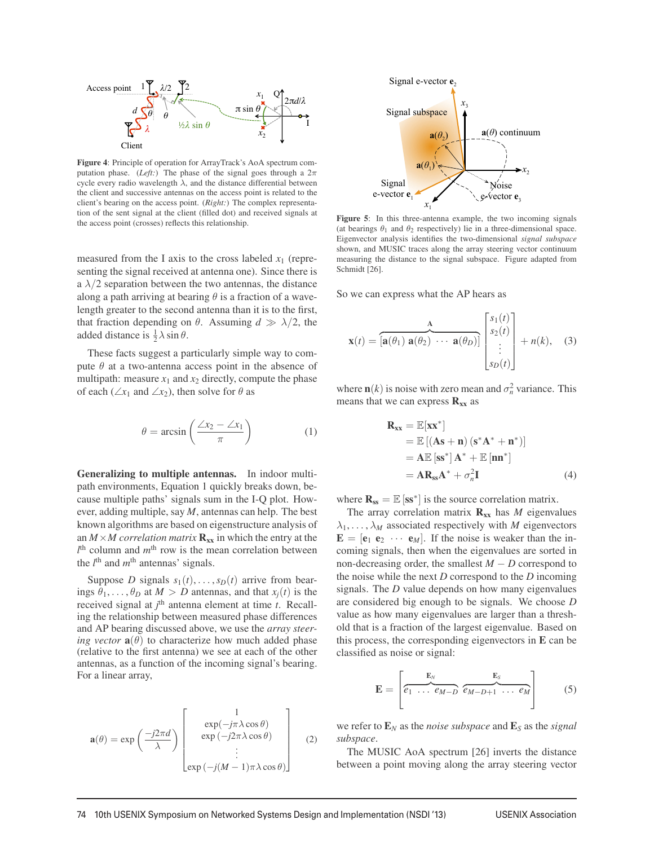

Figure 4: Principle of operation for ArrayTrack's AoA spectrum computation phase. (*Left:*) The phase of the signal goes through a  $2\pi$ cycle every radio wavelength  $\lambda$ , and the distance differential between the client and successive antennas on the access point is related to the client's bearing on the access point. (*Right:*) The complex representation of the sent signal at the client (filled dot) and received signals at the access point (crosses) reflects this relationship.

measured from the I axis to the cross labeled  $x_1$  (representing the signal received at antenna one). Since there is a  $\lambda/2$  separation between the two antennas, the distance along a path arriving at bearing  $\theta$  is a fraction of a wavelength greater to the second antenna than it is to the first, that fraction depending on  $\theta$ . Assuming  $d \gg \lambda/2$ , the added distance is  $\frac{1}{2}\lambda \sin \theta$ .

These facts suggest a particularly simple way to compute  $\theta$  at a two-antenna access point in the absence of multipath: measure  $x_1$  and  $x_2$  directly, compute the phase of each ( $\angle x_1$  and  $\angle x_2$ ), then solve for  $\theta$  as

$$
\theta = \arcsin\left(\frac{\angle x_2 - \angle x_1}{\pi}\right) \tag{1}
$$

Generalizing to multiple antennas. In indoor multipath environments, Equation 1 quickly breaks down, because multiple paths' signals sum in the I-Q plot. However, adding multiple, say *M*, antennas can help. The best known algorithms are based on eigenstructure analysis of an  $M \times M$  correlation matrix  $\mathbf{R}_{xx}$  in which the entry at the *l* th column and *m*th row is the mean correlation between the  $l^{\text{th}}$  and  $m^{\text{th}}$  antennas' signals.

Suppose *D* signals  $s_1(t), \ldots, s_D(t)$  arrive from bearings  $\theta_1, \ldots, \theta_D$  at  $M > D$  antennas, and that  $x_i(t)$  is the received signal at *j*<sup>th</sup> antenna element at time *t*. Recalling the relationship between measured phase differences and AP bearing discussed above, we use the *array steering vector*  $\mathbf{a}(\theta)$  to characterize how much added phase (relative to the first antenna) we see at each of the other antennas, as a function of the incoming signal's bearing. For a linear array,

$$
\mathbf{a}(\theta) = \exp\left(\frac{-j2\pi d}{\lambda}\right) \begin{bmatrix} 1 \\ \exp(-j\pi\lambda\cos\theta) \\ \exp(-j2\pi\lambda\cos\theta) \\ \vdots \\ \exp(-j(M-1)\pi\lambda\cos\theta) \end{bmatrix}
$$
 (2)



Figure 5: In this three-antenna example, the two incoming signals (at bearings  $\theta_1$  and  $\theta_2$  respectively) lie in a three-dimensional space. Eigenvector analysis identifies the two-dimensional *signal subspace* shown, and MUSIC traces along the array steering vector continuum measuring the distance to the signal subspace. Figure adapted from Schmidt [26].

So we can express what the AP hears as

$$
\mathbf{x}(t) = \overbrace{\left[\mathbf{a}(\theta_1) \ \mathbf{a}(\theta_2) \ \cdots \ \mathbf{a}(\theta_D)\right]}^{\mathbf{A}} \begin{bmatrix} s_1(t) \\ s_2(t) \\ \vdots \\ s_D(t) \end{bmatrix} + n(k), \quad (3)
$$

where  $\mathbf{n}(k)$  is noise with zero mean and  $\sigma_n^2$  variance. This means that we can express  $\mathbf{R}_{xx}$  as

$$
\mathbf{R}_{\mathbf{x}\mathbf{x}} = \mathbb{E}[\mathbf{x}\mathbf{x}^*]
$$
  
=  $\mathbb{E}[(\mathbf{A}\mathbf{s} + \mathbf{n})(\mathbf{s}^*\mathbf{A}^* + \mathbf{n}^*)]$   
=  $\mathbf{A}\mathbb{E}[\mathbf{s}\mathbf{s}^*]\mathbf{A}^* + \mathbb{E}[\mathbf{n}\mathbf{n}^*]$   
=  $\mathbf{A}\mathbf{R}_{\mathbf{s}\mathbf{s}}\mathbf{A}^* + \sigma_n^2 \mathbf{I}$  (4)

where  $\mathbf{R}_{ss} = \mathbb{E} [\textbf{ss}^*]$  is the source correlation matrix.

The array correlation matrix  $\mathbf{R}_{xx}$  has *M* eigenvalues  $\lambda_1, \ldots, \lambda_M$  associated respectively with *M* eigenvectors  $\mathbf{E} = [\mathbf{e}_1 \ \mathbf{e}_2 \ \cdots \ \mathbf{e}_M]$ . If the noise is weaker than the incoming signals, then when the eigenvalues are sorted in non-decreasing order, the smallest *M* − *D* correspond to the noise while the next *D* correspond to the *D* incoming signals. The *D* value depends on how many eigenvalues are considered big enough to be signals. We choose *D* value as how many eigenvalues are larger than a threshold that is a fraction of the largest eigenvalue. Based on this process, the corresponding eigenvectors in  $E$  can be classified as noise or signal:

$$
\mathbf{E} = \left[ \overbrace{e_1 \ \dots \ e_{M-D}}^{\mathbf{E}_N} \overbrace{e_{M-D+1} \ \dots \ e_M}^{\mathbf{E}_S} \right] \tag{5}
$$

we refer to  $\mathbf{E}_N$  as the *noise subspace* and  $\mathbf{E}_S$  as the *signal subspace*.

The MUSIC AoA spectrum [26] inverts the distance between a point moving along the array steering vector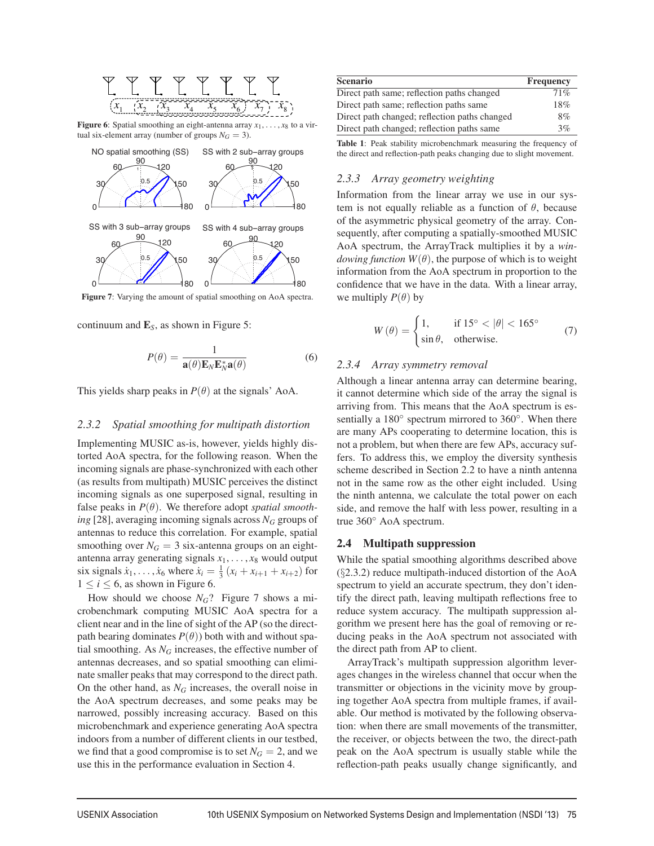

Figure 6: Spatial smoothing an eight-antenna array  $x_1, \ldots, x_8$  to a virtual six-element array (number of groups  $N<sub>G</sub> = 3$ ).



Figure 7: Varying the amount of spatial smoothing on AoA spectra.

continuum and E*S*, as shown in Figure 5:

$$
P(\theta) = \frac{1}{\mathbf{a}(\theta)\mathbf{E}_N\mathbf{E}_N^*\mathbf{a}(\theta)}
$$
(6)

This yields sharp peaks in  $P(\theta)$  at the signals' AoA.

### *2.3.2 Spatial smoothing for multipath distortion*

Implementing MUSIC as-is, however, yields highly distorted AoA spectra, for the following reason. When the incoming signals are phase-synchronized with each other (as results from multipath) MUSIC perceives the distinct incoming signals as one superposed signal, resulting in false peaks in  $P(\theta)$ . We therefore adopt *spatial smoothing* [28], averaging incoming signals across  $N_G$  groups of antennas to reduce this correlation. For example, spatial smoothing over  $N_G = 3$  six-antenna groups on an eightantenna array generating signals  $x_1, \ldots, x_8$  would output six signals  $\dot{x}_1, ..., \dot{x}_6$  where  $\dot{x}_i = \frac{1}{3} (x_i + x_{i+1} + x_{i+2})$  for  $1 \leq i \leq 6$ , as shown in Figure 6.

How should we choose  $N_G$ ? Figure 7 shows a microbenchmark computing MUSIC AoA spectra for a client near and in the line of sight of the AP (so the directpath bearing dominates  $P(\theta)$ ) both with and without spatial smoothing. As  $N_G$  increases, the effective number of antennas decreases, and so spatial smoothing can eliminate smaller peaks that may correspond to the direct path. On the other hand, as  $N_G$  increases, the overall noise in the AoA spectrum decreases, and some peaks may be narrowed, possibly increasing accuracy. Based on this microbenchmark and experience generating AoA spectra indoors from a number of different clients in our testbed, we find that a good compromise is to set  $N_G = 2$ , and we use this in the performance evaluation in Section 4.

| <b>Scenario</b>                               | <b>Frequency</b> |
|-----------------------------------------------|------------------|
| Direct path same; reflection paths changed    | 71%              |
| Direct path same; reflection paths same       | 18%              |
| Direct path changed; reflection paths changed | 8%               |
| Direct path changed; reflection paths same    | 3%               |

Table 1: Peak stability microbenchmark measuring the frequency of the direct and reflection-path peaks changing due to slight movement.

# *2.3.3 Array geometry weighting*

Information from the linear array we use in our system is not equally reliable as a function of  $\theta$ , because of the asymmetric physical geometry of the array. Consequently, after computing a spatially-smoothed MUSIC AoA spectrum, the ArrayTrack multiplies it by a *windowing function*  $W(\theta)$ , the purpose of which is to weight information from the AoA spectrum in proportion to the confidence that we have in the data. With a linear array, we multiply  $P(\theta)$  by

$$
W(\theta) = \begin{cases} 1, & \text{if } 15^{\circ} < |\theta| < 165^{\circ} \\ \sin \theta, & \text{otherwise.} \end{cases} \tag{7}
$$

#### *2.3.4 Array symmetry removal*

Although a linear antenna array can determine bearing, it cannot determine which side of the array the signal is arriving from. This means that the AoA spectrum is essentially a 180<sup>°</sup> spectrum mirrored to 360<sup>°</sup>. When there are many APs cooperating to determine location, this is not a problem, but when there are few APs, accuracy suffers. To address this, we employ the diversity synthesis scheme described in Section 2.2 to have a ninth antenna not in the same row as the other eight included. Using the ninth antenna, we calculate the total power on each side, and remove the half with less power, resulting in a true 360◦ AoA spectrum.

#### 2.4 Multipath suppression

While the spatial smoothing algorithms described above (§2.3.2) reduce multipath-induced distortion of the AoA spectrum to yield an accurate spectrum, they don't identify the direct path, leaving multipath reflections free to reduce system accuracy. The multipath suppression algorithm we present here has the goal of removing or reducing peaks in the AoA spectrum not associated with the direct path from AP to client.

ArrayTrack's multipath suppression algorithm leverages changes in the wireless channel that occur when the transmitter or objections in the vicinity move by grouping together AoA spectra from multiple frames, if available. Our method is motivated by the following observation: when there are small movements of the transmitter, the receiver, or objects between the two, the direct-path peak on the AoA spectrum is usually stable while the reflection-path peaks usually change significantly, and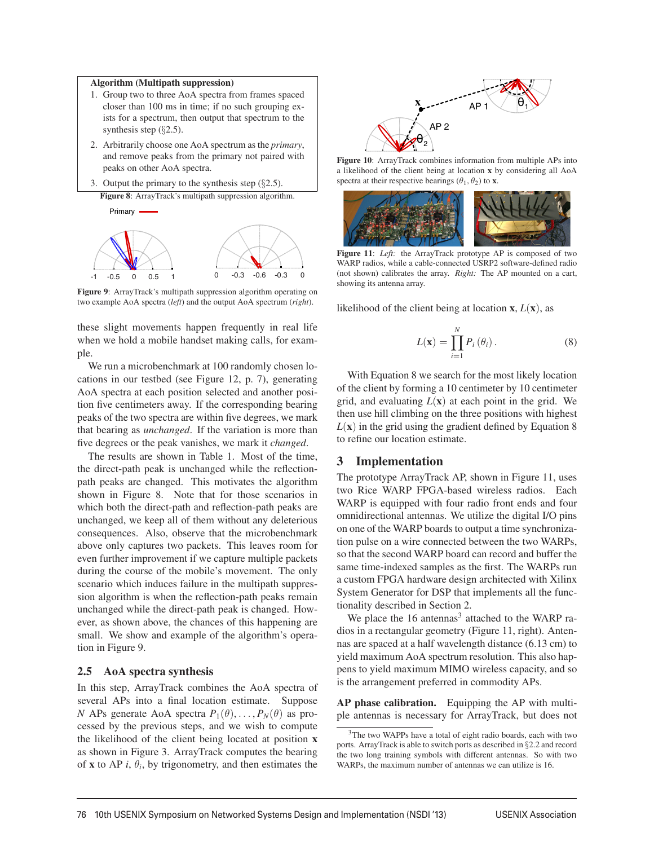### Algorithm (Multipath suppression)

- 1. Group two to three AoA spectra from frames spaced closer than 100 ms in time; if no such grouping exists for a spectrum, then output that spectrum to the synthesis step (§2.5).
- 2. Arbitrarily choose one AoA spectrum as the *primary*, and remove peaks from the primary not paired with peaks on other AoA spectra.
- 3. Output the primary to the synthesis step  $(\S 2.5)$ .

Figure 8: ArrayTrack's multipath suppression algorithm.



Figure 9: ArrayTrack's multipath suppression algorithm operating on two example AoA spectra (*left*) and the output AoA spectrum (*right*).

these slight movements happen frequently in real life when we hold a mobile handset making calls, for example.

We run a microbenchmark at 100 randomly chosen locations in our testbed (see Figure 12, p. 7), generating AoA spectra at each position selected and another position five centimeters away. If the corresponding bearing peaks of the two spectra are within five degrees, we mark that bearing as *unchanged*. If the variation is more than five degrees or the peak vanishes, we mark it *changed*.

The results are shown in Table 1. Most of the time, the direct-path peak is unchanged while the reflectionpath peaks are changed. This motivates the algorithm shown in Figure 8. Note that for those scenarios in which both the direct-path and reflection-path peaks are unchanged, we keep all of them without any deleterious consequences. Also, observe that the microbenchmark above only captures two packets. This leaves room for even further improvement if we capture multiple packets during the course of the mobile's movement. The only scenario which induces failure in the multipath suppression algorithm is when the reflection-path peaks remain unchanged while the direct-path peak is changed. However, as shown above, the chances of this happening are small. We show and example of the algorithm's operation in Figure 9.

# 2.5 AoA spectra synthesis

In this step, ArrayTrack combines the AoA spectra of several APs into a final location estimate. Suppose *N* APs generate AoA spectra  $P_1(\theta), \ldots, P_N(\theta)$  as processed by the previous steps, and we wish to compute the likelihood of the client being located at position x as shown in Figure 3. ArrayTrack computes the bearing of **x** to AP *i*,  $\theta$ *<sub>i</sub>*, by trigonometry, and then estimates the



Figure 10: ArrayTrack combines information from multiple APs into a likelihood of the client being at location x by considering all AoA spectra at their respective bearings  $(\theta_1, \theta_2)$  to **x**.



Figure 11: Left: the ArrayTrack prototype AP is composed of two WARP radios, while a cable-connected USRP2 software-defined radio (not shown) calibrates the array. *Right:* The AP mounted on a cart, showing its antenna array.

likelihood of the client being at location  $x$ ,  $L(x)$ , as

$$
L(\mathbf{x}) = \prod_{i=1}^{N} P_i(\theta_i).
$$
 (8)

With Equation 8 we search for the most likely location of the client by forming a 10 centimeter by 10 centimeter grid, and evaluating  $L(\mathbf{x})$  at each point in the grid. We then use hill climbing on the three positions with highest  $L(\mathbf{x})$  in the grid using the gradient defined by Equation 8 to refine our location estimate.

### 3 Implementation

The prototype ArrayTrack AP, shown in Figure 11, uses two Rice WARP FPGA-based wireless radios. Each WARP is equipped with four radio front ends and four omnidirectional antennas. We utilize the digital I/O pins on one of the WARP boards to output a time synchronization pulse on a wire connected between the two WARPs, so that the second WARP board can record and buffer the same time-indexed samples as the first. The WARPs run a custom FPGA hardware design architected with Xilinx System Generator for DSP that implements all the functionality described in Section 2.

We place the  $16$  antennas<sup>3</sup> attached to the WARP radios in a rectangular geometry (Figure 11, right). Antennas are spaced at a half wavelength distance (6.13 cm) to yield maximum AoA spectrum resolution. This also happens to yield maximum MIMO wireless capacity, and so is the arrangement preferred in commodity APs.

AP phase calibration. Equipping the AP with multiple antennas is necessary for ArrayTrack, but does not

<sup>3</sup>The two WAPPs have a total of eight radio boards, each with two ports. ArrayTrack is able to switch ports as described in §2.2 and record the two long training symbols with different antennas. So with two WARPs, the maximum number of antennas we can utilize is 16.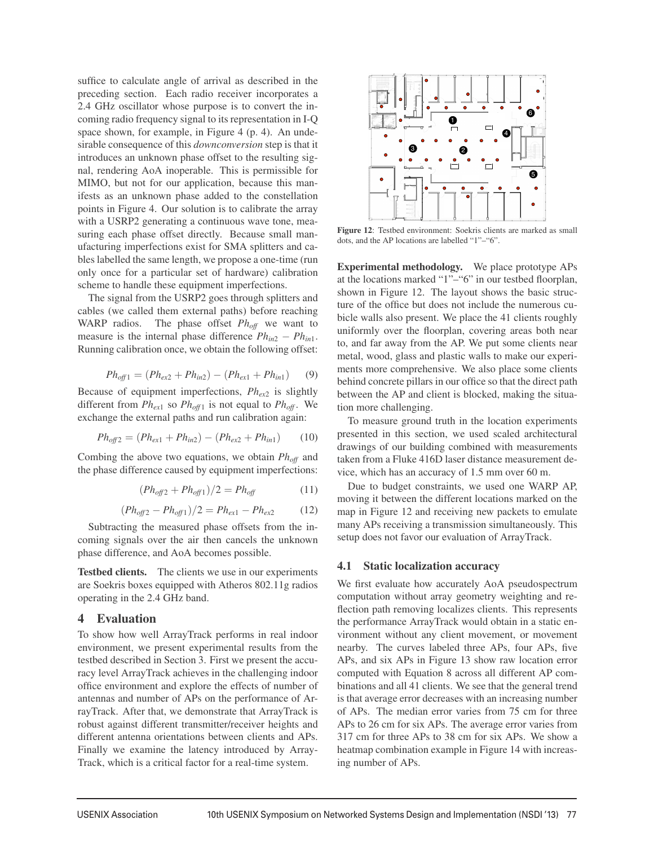suffice to calculate angle of arrival as described in the preceding section. Each radio receiver incorporates a 2.4 GHz oscillator whose purpose is to convert the incoming radio frequency signal to its representation in I-Q space shown, for example, in Figure 4 (p. 4). An undesirable consequence of this *downconversion* step is that it introduces an unknown phase offset to the resulting signal, rendering AoA inoperable. This is permissible for MIMO, but not for our application, because this manifests as an unknown phase added to the constellation points in Figure 4. Our solution is to calibrate the array with a USRP2 generating a continuous wave tone, measuring each phase offset directly. Because small manufacturing imperfections exist for SMA splitters and cables labelled the same length, we propose a one-time (run only once for a particular set of hardware) calibration scheme to handle these equipment imperfections.

The signal from the USRP2 goes through splitters and cables (we called them external paths) before reaching WARP radios. The phase offset  $Ph_{off}$  we want to measure is the internal phase difference  $Ph_{in2} - Ph_{in1}$ . Running calibration once, we obtain the following offset:

$$
Ph_{off1} = (Ph_{ex2} + Ph_{in2}) - (Ph_{ex1} + Ph_{in1}) \tag{9}
$$

Because of equipment imperfections, *Phex*<sup>2</sup> is slightly different from  $Ph_{ex1}$  so  $Ph_{off1}$  is not equal to  $Ph_{off}$ . We exchange the external paths and run calibration again:

$$
Ph_{off2} = (Ph_{ex1} + Ph_{in2}) - (Ph_{ex2} + Ph_{in1}) \tag{10}
$$

Combing the above two equations, we obtain *Phoff* and the phase difference caused by equipment imperfections:

$$
(Ph_{off2} + Ph_{off1})/2 = Ph_{off} \tag{11}
$$

$$
(Ph_{off2} - Ph_{off1})/2 = Ph_{ex1} - Ph_{ex2} \tag{12}
$$

Subtracting the measured phase offsets from the incoming signals over the air then cancels the unknown phase difference, and AoA becomes possible.

Testbed clients. The clients we use in our experiments are Soekris boxes equipped with Atheros 802.11g radios operating in the 2.4 GHz band.

# 4 Evaluation

To show how well ArrayTrack performs in real indoor environment, we present experimental results from the testbed described in Section 3. First we present the accuracy level ArrayTrack achieves in the challenging indoor office environment and explore the effects of number of antennas and number of APs on the performance of ArrayTrack. After that, we demonstrate that ArrayTrack is robust against different transmitter/receiver heights and different antenna orientations between clients and APs. Finally we examine the latency introduced by Array-Track, which is a critical factor for a real-time system.



Figure 12: Testbed environment: Soekris clients are marked as small dots, and the AP locations are labelled "1"–"6".

Experimental methodology. We place prototype APs at the locations marked "1"–"6" in our testbed floorplan, shown in Figure 12. The layout shows the basic structure of the office but does not include the numerous cubicle walls also present. We place the 41 clients roughly uniformly over the floorplan, covering areas both near to, and far away from the AP. We put some clients near metal, wood, glass and plastic walls to make our experiments more comprehensive. We also place some clients behind concrete pillars in our office so that the direct path between the AP and client is blocked, making the situation more challenging.

To measure ground truth in the location experiments presented in this section, we used scaled architectural drawings of our building combined with measurements taken from a Fluke 416D laser distance measurement device, which has an accuracy of 1.5 mm over 60 m.

Due to budget constraints, we used one WARP AP, moving it between the different locations marked on the map in Figure 12 and receiving new packets to emulate many APs receiving a transmission simultaneously. This setup does not favor our evaluation of ArrayTrack.

### 4.1 Static localization accuracy

We first evaluate how accurately AoA pseudospectrum computation without array geometry weighting and reflection path removing localizes clients. This represents the performance ArrayTrack would obtain in a static environment without any client movement, or movement nearby. The curves labeled three APs, four APs, five APs, and six APs in Figure 13 show raw location error computed with Equation 8 across all different AP combinations and all 41 clients. We see that the general trend is that average error decreases with an increasing number of APs. The median error varies from 75 cm for three APs to 26 cm for six APs. The average error varies from 317 cm for three APs to 38 cm for six APs. We show a heatmap combination example in Figure 14 with increasing number of APs.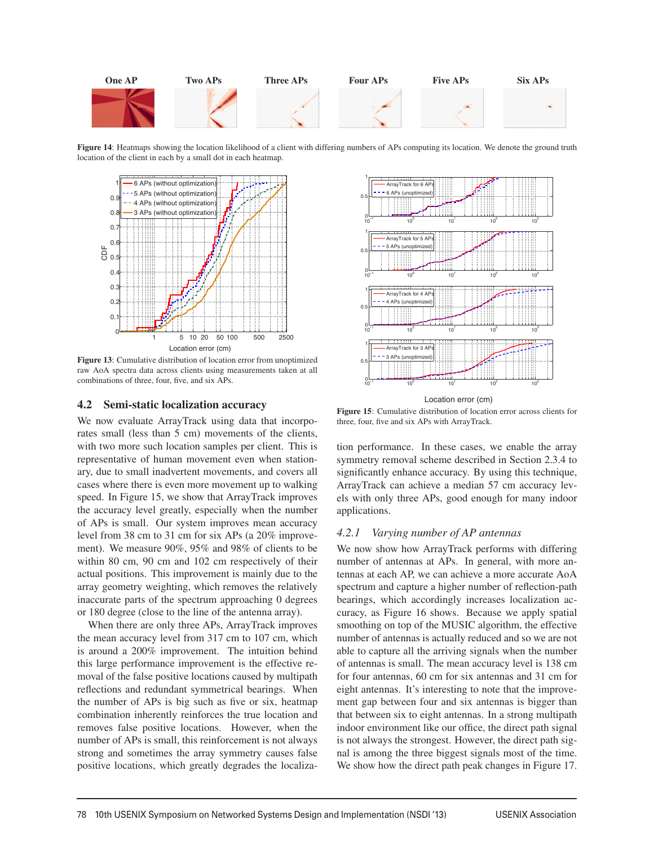

Figure 14: Heatmaps showing the location likelihood of a client with differing numbers of APs computing its location. We denote the ground truth location of the client in each by a small dot in each heatmap.



Figure 13: Cumulative distribution of location error from unoptimized raw AoA spectra data across clients using measurements taken at all combinations of three, four, five, and six APs.

### 4.2 Semi-static localization accuracy

We now evaluate ArrayTrack using data that incorporates small (less than 5 cm) movements of the clients, with two more such location samples per client. This is representative of human movement even when stationary, due to small inadvertent movements, and covers all cases where there is even more movement up to walking speed. In Figure 15, we show that ArrayTrack improves the accuracy level greatly, especially when the number of APs is small. Our system improves mean accuracy level from 38 cm to 31 cm for six APs (a 20% improvement). We measure 90%, 95% and 98% of clients to be within 80 cm, 90 cm and 102 cm respectively of their actual positions. This improvement is mainly due to the array geometry weighting, which removes the relatively inaccurate parts of the spectrum approaching 0 degrees or 180 degree (close to the line of the antenna array).

When there are only three APs, ArrayTrack improves the mean accuracy level from 317 cm to 107 cm, which is around a 200% improvement. The intuition behind this large performance improvement is the effective removal of the false positive locations caused by multipath reflections and redundant symmetrical bearings. When the number of APs is big such as five or six, heatmap combination inherently reinforces the true location and removes false positive locations. However, when the number of APs is small, this reinforcement is not always strong and sometimes the array symmetry causes false positive locations, which greatly degrades the localiza-



Figure 15: Cumulative distribution of location error across clients for three, four, five and six APs with ArrayTrack.

tion performance. In these cases, we enable the array symmetry removal scheme described in Section 2.3.4 to significantly enhance accuracy. By using this technique, ArrayTrack can achieve a median 57 cm accuracy levels with only three APs, good enough for many indoor applications.

#### *4.2.1 Varying number of AP antennas*

We now show how ArrayTrack performs with differing number of antennas at APs. In general, with more antennas at each AP, we can achieve a more accurate AoA spectrum and capture a higher number of reflection-path bearings, which accordingly increases localization accuracy, as Figure 16 shows. Because we apply spatial smoothing on top of the MUSIC algorithm, the effective number of antennas is actually reduced and so we are not able to capture all the arriving signals when the number of antennas is small. The mean accuracy level is 138 cm for four antennas, 60 cm for six antennas and 31 cm for eight antennas. It's interesting to note that the improvement gap between four and six antennas is bigger than that between six to eight antennas. In a strong multipath indoor environment like our office, the direct path signal is not always the strongest. However, the direct path signal is among the three biggest signals most of the time. We show how the direct path peak changes in Figure 17.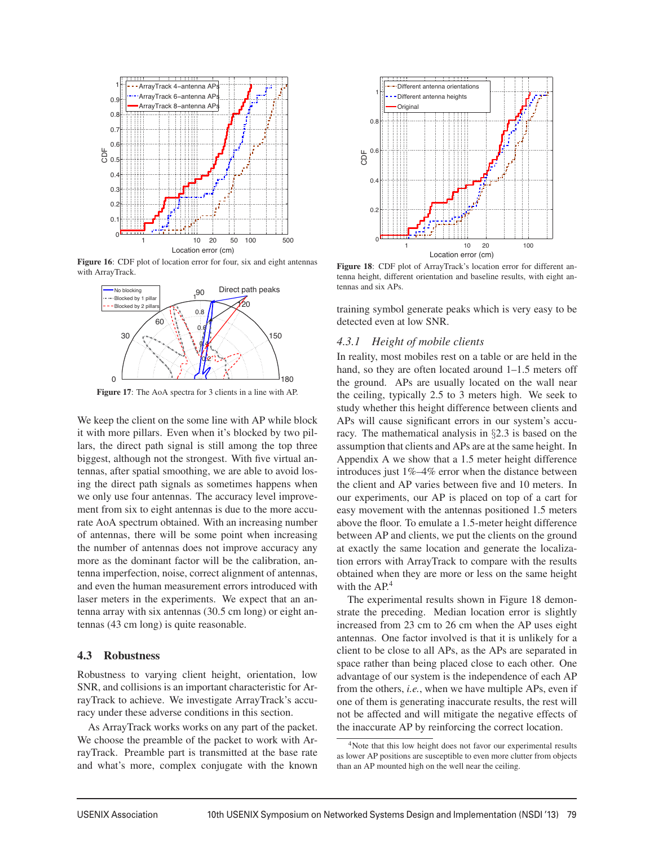

Figure 16: CDF plot of location error for four, six and eight antennas with ArrayTrack.



Figure 17: The AoA spectra for 3 clients in a line with AP.

We keep the client on the some line with AP while block it with more pillars. Even when it's blocked by two pillars, the direct path signal is still among the top three biggest, although not the strongest. With five virtual antennas, after spatial smoothing, we are able to avoid losing the direct path signals as sometimes happens when we only use four antennas. The accuracy level improvement from six to eight antennas is due to the more accurate AoA spectrum obtained. With an increasing number of antennas, there will be some point when increasing the number of antennas does not improve accuracy any more as the dominant factor will be the calibration, antenna imperfection, noise, correct alignment of antennas, and even the human measurement errors introduced with laser meters in the experiments. We expect that an antenna array with six antennas (30.5 cm long) or eight antennas (43 cm long) is quite reasonable.

### 4.3 Robustness

Robustness to varying client height, orientation, low SNR, and collisions is an important characteristic for ArrayTrack to achieve. We investigate ArrayTrack's accuracy under these adverse conditions in this section.

As ArrayTrack works works on any part of the packet. We choose the preamble of the packet to work with ArrayTrack. Preamble part is transmitted at the base rate and what's more, complex conjugate with the known



Figure 18: CDF plot of ArrayTrack's location error for different antenna height, different orientation and baseline results, with eight antennas and six APs.

training symbol generate peaks which is very easy to be detected even at low SNR.

#### *4.3.1 Height of mobile clients*

In reality, most mobiles rest on a table or are held in the hand, so they are often located around 1–1.5 meters off the ground. APs are usually located on the wall near the ceiling, typically 2.5 to 3 meters high. We seek to study whether this height difference between clients and APs will cause significant errors in our system's accuracy. The mathematical analysis in §2.3 is based on the assumption that clients and APs are at the same height. In Appendix A we show that a 1.5 meter height difference introduces just 1%–4% error when the distance between the client and AP varies between five and 10 meters. In our experiments, our AP is placed on top of a cart for easy movement with the antennas positioned 1.5 meters above the floor. To emulate a 1.5-meter height difference between AP and clients, we put the clients on the ground at exactly the same location and generate the localization errors with ArrayTrack to compare with the results obtained when they are more or less on the same height with the AP.<sup>4</sup>

The experimental results shown in Figure 18 demonstrate the preceding. Median location error is slightly increased from 23 cm to 26 cm when the AP uses eight antennas. One factor involved is that it is unlikely for a client to be close to all APs, as the APs are separated in space rather than being placed close to each other. One advantage of our system is the independence of each AP from the others, *i.e.*, when we have multiple APs, even if one of them is generating inaccurate results, the rest will not be affected and will mitigate the negative effects of the inaccurate AP by reinforcing the correct location.

<sup>4</sup>Note that this low height does not favor our experimental results as lower AP positions are susceptible to even more clutter from objects than an AP mounted high on the well near the ceiling.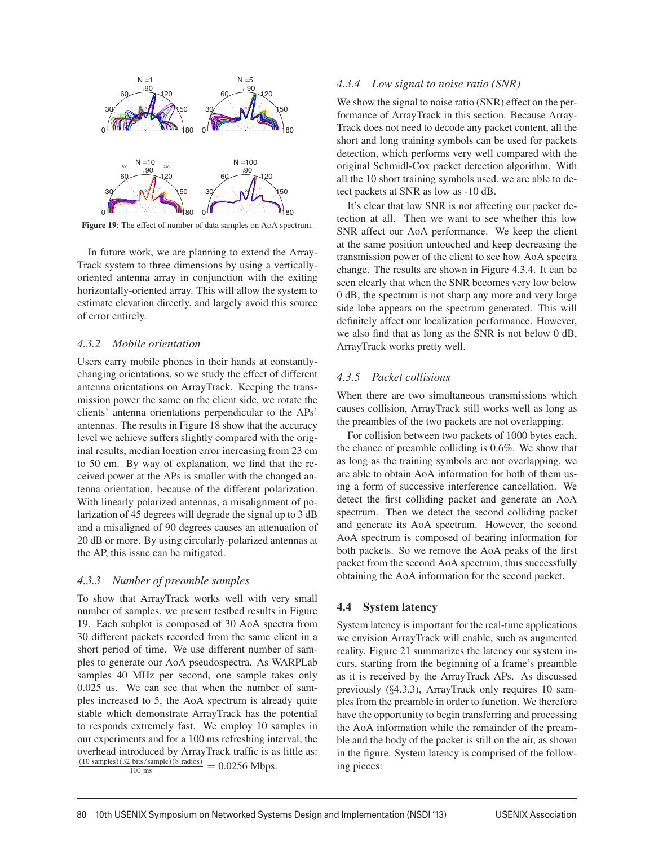

Figure 19: The effect of number of data samples on AoA spectrum.

In future work, we are planning to extend the Array-Track system to three dimensions by using a verticallyoriented antenna array in conjunction with the exiting horizontally-oriented array. This will allow the system to estimate elevation directly, and largely avoid this source of error entirely.

### *4.3.2 Mobile orientation*

Users carry mobile phones in their hands at constantlychanging orientations, so we study the effect of different antenna orientations on ArrayTrack. Keeping the transmission power the same on the client side, we rotate the clients' antenna orientations perpendicular to the APs' antennas. The results in Figure 18 show that the accuracy level we achieve suffers slightly compared with the original results, median location error increasing from 23 cm to 50 cm. By way of explanation, we find that the received power at the APs is smaller with the changed antenna orientation, because of the different polarization. With linearly polarized antennas, a misalignment of polarization of 45 degrees will degrade the signal up to 3 dB and a misaligned of 90 degrees causes an attenuation of 20 dB or more. By using circularly-polarized antennas at the AP, this issue can be mitigated.

### *4.3.3 Number of preamble samples*

To show that ArrayTrack works well with very small number of samples, we present testbed results in Figure 19. Each subplot is composed of 30 AoA spectra from 30 different packets recorded from the same client in a short period of time. We use different number of samples to generate our AoA pseudospectra. As WARPLab samples 40 MHz per second, one sample takes only 0.025 us. We can see that when the number of samples increased to 5, the AoA spectrum is already quite stable which demonstrate ArrayTrack has the potential to responds extremely fast. We employ 10 samples in our experiments and for a 100 ms refreshing interval, the overhead introduced by ArrayTrack traffic is as little as:  $\frac{(10 \text{ samples})(32 \text{ bits/sample})(8 \text{ radios})}{100 \text{ ms}} = 0.0256 \text{ Mbps}.$ 

### *4.3.4 Low signal to noise ratio (SNR)*

We show the signal to noise ratio (SNR) effect on the performance of ArrayTrack in this section. Because Array-Track does not need to decode any packet content, all the short and long training symbols can be used for packets detection, which performs very well compared with the original Schmidl-Cox packet detection algorithm. With all the 10 short training symbols used, we are able to detect packets at SNR as low as -10 dB.

It's clear that low SNR is not affecting our packet detection at all. Then we want to see whether this low SNR affect our AoA performance. We keep the client at the same position untouched and keep decreasing the transmission power of the client to see how AoA spectra change. The results are shown in Figure 4.3.4. It can be seen clearly that when the SNR becomes very low below 0 dB, the spectrum is not sharp any more and very large side lobe appears on the spectrum generated. This will definitely affect our localization performance. However, we also find that as long as the SNR is not below 0 dB, ArrayTrack works pretty well.

# *4.3.5 Packet collisions*

When there are two simultaneous transmissions which causes collision, ArrayTrack still works well as long as the preambles of the two packets are not overlapping.

For collision between two packets of 1000 bytes each, the chance of preamble colliding is 0.6%. We show that as long as the training symbols are not overlapping, we are able to obtain AoA information for both of them using a form of successive interference cancellation. We detect the first colliding packet and generate an AoA spectrum. Then we detect the second colliding packet and generate its AoA spectrum. However, the second AoA spectrum is composed of bearing information for both packets. So we remove the AoA peaks of the first packet from the second AoA spectrum, thus successfully obtaining the AoA information for the second packet.

# 4.4 System latency

System latency is important for the real-time applications we envision ArrayTrack will enable, such as augmented reality. Figure 21 summarizes the latency our system incurs, starting from the beginning of a frame's preamble as it is received by the ArrayTrack APs. As discussed previously (§4.3.3), ArrayTrack only requires 10 samples from the preamble in order to function. We therefore have the opportunity to begin transferring and processing the AoA information while the remainder of the preamble and the body of the packet is still on the air, as shown in the figure. System latency is comprised of the following pieces:

 $\overline{a}$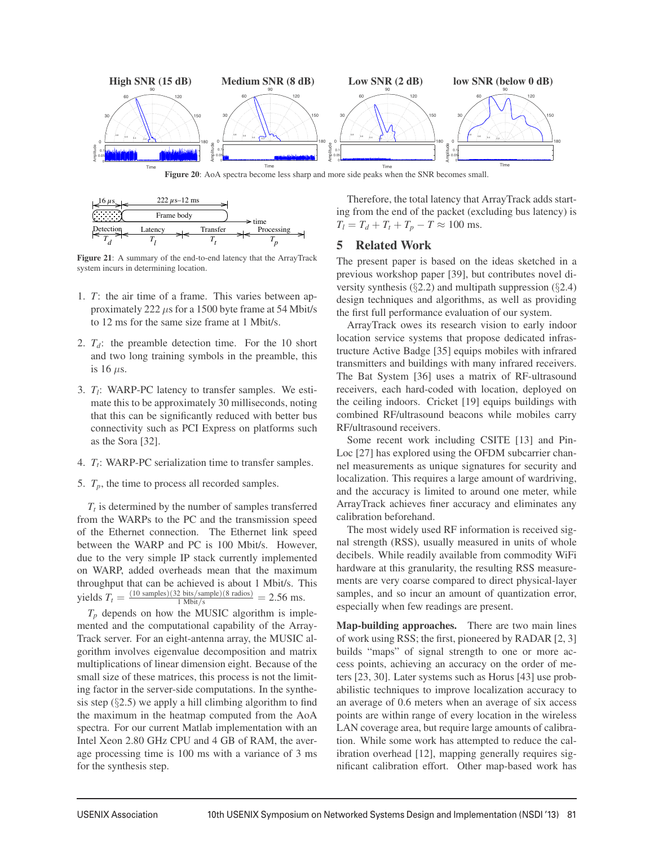

Figure 20: AoA spectra become less sharp and more side peaks when the SNR becomes small.



Figure 21: A summary of the end-to-end latency that the ArrayTrack system incurs in determining location.

- 1. *T*: the air time of a frame. This varies between approximately 222  $\mu$ s for a 1500 byte frame at 54 Mbit/s to 12 ms for the same size frame at 1 Mbit/s.
- 2.  $T_d$ : the preamble detection time. For the 10 short and two long training symbols in the preamble, this is 16  $\mu$ s.
- 3. *T<sub>l</sub>*: WARP-PC latency to transfer samples. We estimate this to be approximately 30 milliseconds, noting that this can be significantly reduced with better bus connectivity such as PCI Express on platforms such as the Sora [32].
- 4. *T<sub>t</sub>*: WARP-PC serialization time to transfer samples.
- 5.  $T_p$ , the time to process all recorded samples.

 $T_t$  is determined by the number of samples transferred from the WARPs to the PC and the transmission speed of the Ethernet connection. The Ethernet link speed between the WARP and PC is 100 Mbit/s. However, due to the very simple IP stack currently implemented on WARP, added overheads mean that the maximum throughput that can be achieved is about 1 Mbit/s. This yields  $T_t = \frac{(10 \text{ samples})(32 \text{ bits/sample})(8 \text{ radios})}{1 \text{ Mbit/s}} = 2.56 \text{ ms}.$ 

 $T_p$  depends on how the MUSIC algorithm is implemented and the computational capability of the Array-Track server. For an eight-antenna array, the MUSIC algorithm involves eigenvalue decomposition and matrix multiplications of linear dimension eight. Because of the small size of these matrices, this process is not the limiting factor in the server-side computations. In the synthesis step  $(\S2.5)$  we apply a hill climbing algorithm to find the maximum in the heatmap computed from the AoA spectra. For our current Matlab implementation with an Intel Xeon 2.80 GHz CPU and 4 GB of RAM, the average processing time is 100 ms with a variance of 3 ms for the synthesis step.

Therefore, the total latency that ArrayTrack adds starting from the end of the packet (excluding bus latency) is  $T_l = T_d + T_t + T_p - T \approx 100$  ms.

# 5 Related Work

The present paper is based on the ideas sketched in a previous workshop paper [39], but contributes novel diversity synthesis  $(\S2.2)$  and multipath suppression  $(\S2.4)$ design techniques and algorithms, as well as providing the first full performance evaluation of our system.

ArrayTrack owes its research vision to early indoor location service systems that propose dedicated infrastructure Active Badge [35] equips mobiles with infrared transmitters and buildings with many infrared receivers. The Bat System [36] uses a matrix of RF-ultrasound receivers, each hard-coded with location, deployed on the ceiling indoors. Cricket [19] equips buildings with combined RF/ultrasound beacons while mobiles carry RF/ultrasound receivers.

Some recent work including CSITE [13] and Pin-Loc [27] has explored using the OFDM subcarrier channel measurements as unique signatures for security and localization. This requires a large amount of wardriving, and the accuracy is limited to around one meter, while ArrayTrack achieves finer accuracy and eliminates any calibration beforehand.

The most widely used RF information is received signal strength (RSS), usually measured in units of whole decibels. While readily available from commodity WiFi hardware at this granularity, the resulting RSS measurements are very coarse compared to direct physical-layer samples, and so incur an amount of quantization error, especially when few readings are present.

Map-building approaches. There are two main lines of work using RSS; the first, pioneered by RADAR [2, 3] builds "maps" of signal strength to one or more access points, achieving an accuracy on the order of meters [23, 30]. Later systems such as Horus [43] use probabilistic techniques to improve localization accuracy to an average of 0.6 meters when an average of six access points are within range of every location in the wireless LAN coverage area, but require large amounts of calibration. While some work has attempted to reduce the calibration overhead [12], mapping generally requires significant calibration effort. Other map-based work has

 $\overline{1}$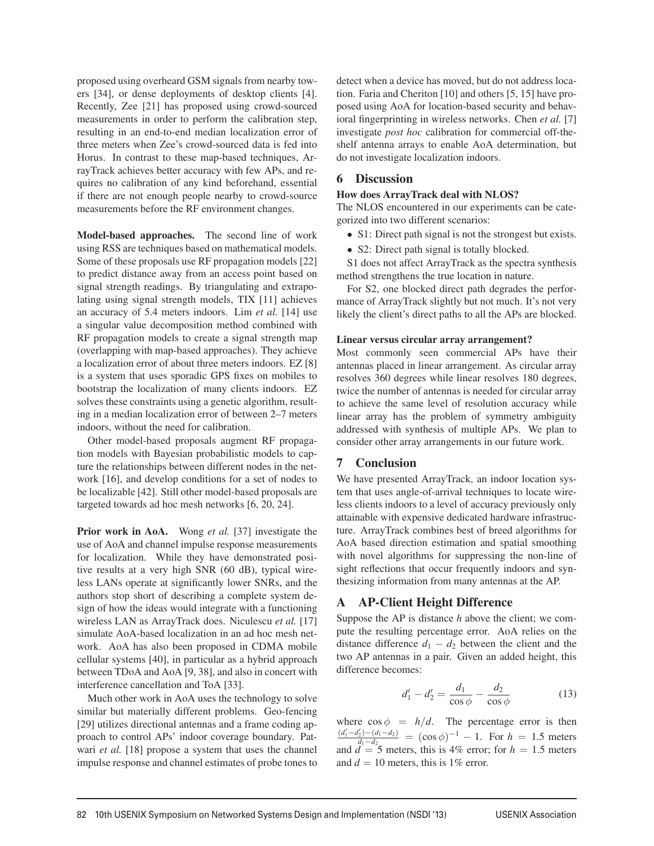proposed using overheard GSM signals from nearby towers [34], or dense deployments of desktop clients [4]. Recently, Zee [21] has proposed using crowd-sourced measurements in order to perform the calibration step, resulting in an end-to-end median localization error of three meters when Zee's crowd-sourced data is fed into Horus. In contrast to these map-based techniques, ArrayTrack achieves better accuracy with few APs, and requires no calibration of any kind beforehand, essential if there are not enough people nearby to crowd-source measurements before the RF environment changes.

Model-based approaches. The second line of work using RSS are techniques based on mathematical models. Some of these proposals use RF propagation models [22] to predict distance away from an access point based on signal strength readings. By triangulating and extrapolating using signal strength models, TIX [11] achieves an accuracy of 5.4 meters indoors. Lim *et al.* [14] use a singular value decomposition method combined with RF propagation models to create a signal strength map (overlapping with map-based approaches). They achieve a localization error of about three meters indoors. EZ [8] is a system that uses sporadic GPS fixes on mobiles to bootstrap the localization of many clients indoors. EZ solves these constraints using a genetic algorithm, resulting in a median localization error of between 2–7 meters indoors, without the need for calibration.

Other model-based proposals augment RF propagation models with Bayesian probabilistic models to capture the relationships between different nodes in the network [16], and develop conditions for a set of nodes to be localizable [42]. Still other model-based proposals are targeted towards ad hoc mesh networks [6, 20, 24].

Prior work in AoA. Wong *et al.* [37] investigate the use of AoA and channel impulse response measurements for localization. While they have demonstrated positive results at a very high SNR (60 dB), typical wireless LANs operate at significantly lower SNRs, and the authors stop short of describing a complete system design of how the ideas would integrate with a functioning wireless LAN as ArrayTrack does. Niculescu *et al.* [17] simulate AoA-based localization in an ad hoc mesh network. AoA has also been proposed in CDMA mobile cellular systems [40], in particular as a hybrid approach between TDoA and AoA [9, 38], and also in concert with interference cancellation and ToA [33].

Much other work in AoA uses the technology to solve similar but materially different problems. Geo-fencing [29] utilizes directional antennas and a frame coding approach to control APs' indoor coverage boundary. Patwari *et al.* [18] propose a system that uses the channel impulse response and channel estimates of probe tones to detect when a device has moved, but do not address location. Faria and Cheriton [10] and others [5, 15] have proposed using AoA for location-based security and behavioral fingerprinting in wireless networks. Chen *et al.* [7] investigate *post hoc* calibration for commercial off-theshelf antenna arrays to enable AoA determination, but do not investigate localization indoors.

# 6 Discussion

### How does ArrayTrack deal with NLOS?

The NLOS encountered in our experiments can be categorized into two different scenarios:

- S1: Direct path signal is not the strongest but exists.
- S2: Direct path signal is totally blocked.

S1 does not affect ArrayTrack as the spectra synthesis method strengthens the true location in nature.

For S2, one blocked direct path degrades the performance of ArrayTrack slightly but not much. It's not very likely the client's direct paths to all the APs are blocked.

### Linear versus circular array arrangement?

Most commonly seen commercial APs have their antennas placed in linear arrangement. As circular array resolves 360 degrees while linear resolves 180 degrees, twice the number of antennas is needed for circular array to achieve the same level of resolution accuracy while linear array has the problem of symmetry ambiguity addressed with synthesis of multiple APs. We plan to consider other array arrangements in our future work.

# 7 Conclusion

We have presented ArrayTrack, an indoor location system that uses angle-of-arrival techniques to locate wireless clients indoors to a level of accuracy previously only attainable with expensive dedicated hardware infrastructure. ArrayTrack combines best of breed algorithms for AoA based direction estimation and spatial smoothing with novel algorithms for suppressing the non-line of sight reflections that occur frequently indoors and synthesizing information from many antennas at the AP.

# A AP-Client Height Difference

Suppose the AP is distance *h* above the client; we compute the resulting percentage error. AoA relies on the distance difference  $d_1 - d_2$  between the client and the two AP antennas in a pair. Given an added height, this difference becomes:

$$
d_1' - d_2' = \frac{d_1}{\cos \phi} - \frac{d_2}{\cos \phi} \tag{13}
$$

where  $\cos \phi = h/d$ . The percentage error is then  $\frac{(d'_1-d'_2)-(d_1-d_2)}{d_1-d_2} = (\cos \phi)^{-1} - 1$ . For  $h = 1.5$  meters and  $d = 5$  meters, this is 4% error; for  $h = 1.5$  meters and  $d = 10$  meters, this is 1% error.

 $\overline{a}$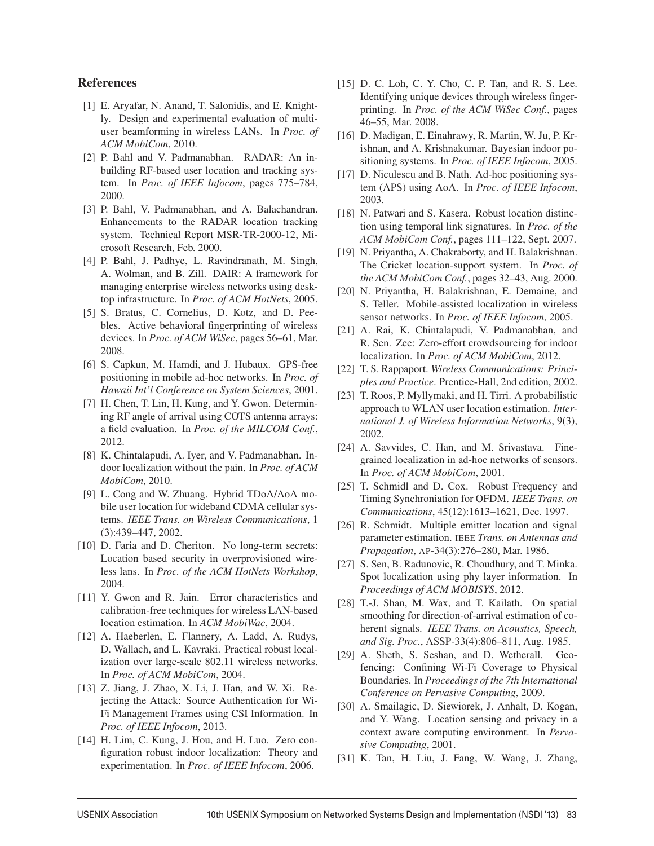# References

- [1] E. Aryafar, N. Anand, T. Salonidis, and E. Knightly. Design and experimental evaluation of multiuser beamforming in wireless LANs. In *Proc. of ACM MobiCom*, 2010.
- [2] P. Bahl and V. Padmanabhan. RADAR: An inbuilding RF-based user location and tracking system. In *Proc. of IEEE Infocom*, pages 775–784, 2000.
- [3] P. Bahl, V. Padmanabhan, and A. Balachandran. Enhancements to the RADAR location tracking system. Technical Report MSR-TR-2000-12, Microsoft Research, Feb. 2000.
- [4] P. Bahl, J. Padhye, L. Ravindranath, M. Singh, A. Wolman, and B. Zill. DAIR: A framework for managing enterprise wireless networks using desktop infrastructure. In *Proc. of ACM HotNets*, 2005.
- [5] S. Bratus, C. Cornelius, D. Kotz, and D. Peebles. Active behavioral fingerprinting of wireless devices. In *Proc. of ACM WiSec*, pages 56–61, Mar. 2008.
- [6] S. Capkun, M. Hamdi, and J. Hubaux. GPS-free positioning in mobile ad-hoc networks. In *Proc. of Hawaii Int'l Conference on System Sciences*, 2001.
- [7] H. Chen, T. Lin, H. Kung, and Y. Gwon. Determining RF angle of arrival using COTS antenna arrays: a field evaluation. In *Proc. of the MILCOM Conf.*, 2012.
- [8] K. Chintalapudi, A. Iyer, and V. Padmanabhan. Indoor localization without the pain. In *Proc. of ACM MobiCom*, 2010.
- [9] L. Cong and W. Zhuang. Hybrid TDoA/AoA mobile user location for wideband CDMA cellular systems. *IEEE Trans. on Wireless Communications*, 1 (3):439–447, 2002.
- [10] D. Faria and D. Cheriton. No long-term secrets: Location based security in overprovisioned wireless lans. In *Proc. of the ACM HotNets Workshop*, 2004.
- [11] Y. Gwon and R. Jain. Error characteristics and calibration-free techniques for wireless LAN-based location estimation. In *ACM MobiWac*, 2004.
- [12] A. Haeberlen, E. Flannery, A. Ladd, A. Rudys, D. Wallach, and L. Kavraki. Practical robust localization over large-scale 802.11 wireless networks. In *Proc. of ACM MobiCom*, 2004.
- [13] Z. Jiang, J. Zhao, X. Li, J. Han, and W. Xi. Rejecting the Attack: Source Authentication for Wi-Fi Management Frames using CSI Information. In *Proc. of IEEE Infocom*, 2013.
- [14] H. Lim, C. Kung, J. Hou, and H. Luo. Zero configuration robust indoor localization: Theory and experimentation. In *Proc. of IEEE Infocom*, 2006.
- [15] D. C. Loh, C. Y. Cho, C. P. Tan, and R. S. Lee. Identifying unique devices through wireless fingerprinting. In *Proc. of the ACM WiSec Conf.*, pages 46–55, Mar. 2008.
- [16] D. Madigan, E. Einahrawy, R. Martin, W. Ju, P. Krishnan, and A. Krishnakumar. Bayesian indoor positioning systems. In *Proc. of IEEE Infocom*, 2005.
- [17] D. Niculescu and B. Nath. Ad-hoc positioning system (APS) using AoA. In *Proc. of IEEE Infocom*, 2003.
- [18] N. Patwari and S. Kasera. Robust location distinction using temporal link signatures. In *Proc. of the ACM MobiCom Conf.*, pages 111–122, Sept. 2007.
- [19] N. Priyantha, A. Chakraborty, and H. Balakrishnan. The Cricket location-support system. In *Proc. of the ACM MobiCom Conf.*, pages 32–43, Aug. 2000.
- [20] N. Priyantha, H. Balakrishnan, E. Demaine, and S. Teller. Mobile-assisted localization in wireless sensor networks. In *Proc. of IEEE Infocom*, 2005.
- [21] A. Rai, K. Chintalapudi, V. Padmanabhan, and R. Sen. Zee: Zero-effort crowdsourcing for indoor localization. In *Proc. of ACM MobiCom*, 2012.
- [22] T. S. Rappaport. *Wireless Communications: Principles and Practice*. Prentice-Hall, 2nd edition, 2002.
- [23] T. Roos, P. Myllymaki, and H. Tirri. A probabilistic approach to WLAN user location estimation. *International J. of Wireless Information Networks*, 9(3), 2002.
- [24] A. Savvides, C. Han, and M. Srivastava. Finegrained localization in ad-hoc networks of sensors. In *Proc. of ACM MobiCom*, 2001.
- [25] T. Schmidl and D. Cox. Robust Frequency and Timing Synchroniation for OFDM. *IEEE Trans. on Communications*, 45(12):1613–1621, Dec. 1997.
- [26] R. Schmidt. Multiple emitter location and signal parameter estimation. IEEE *Trans. on Antennas and Propagation*, AP-34(3):276–280, Mar. 1986.
- [27] S. Sen, B. Radunovic, R. Choudhury, and T. Minka. Spot localization using phy layer information. In *Proceedings of ACM MOBISYS*, 2012.
- [28] T.-J. Shan, M. Wax, and T. Kailath. On spatial smoothing for direction-of-arrival estimation of coherent signals. *IEEE Trans. on Acoustics, Speech, and Sig. Proc.*, ASSP-33(4):806–811, Aug. 1985.
- [29] A. Sheth, S. Seshan, and D. Wetherall. Geofencing: Confining Wi-Fi Coverage to Physical Boundaries. In *Proceedings of the 7th International Conference on Pervasive Computing*, 2009.
- [30] A. Smailagic, D. Siewiorek, J. Anhalt, D. Kogan, and Y. Wang. Location sensing and privacy in a context aware computing environment. In *Pervasive Computing*, 2001.
- [31] K. Tan, H. Liu, J. Fang, W. Wang, J. Zhang,